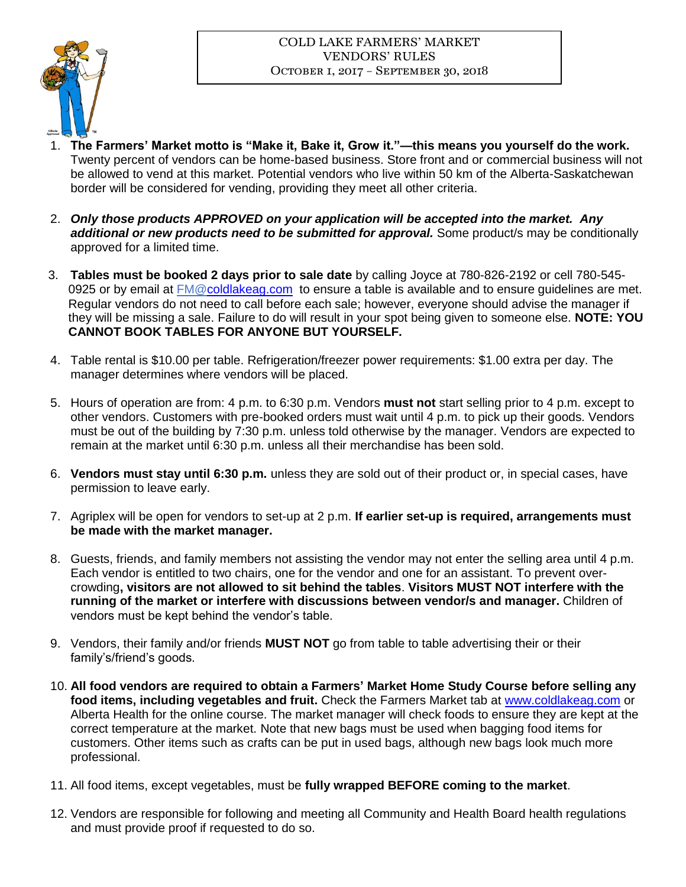## COLD LAKE FARMERS' MARKET VENDORS' RULES October 1, 2017 – September 30, 2018



- 1. **The Farmers' Market motto is "Make it, Bake it, Grow it."—this means you yourself do the work.** Twenty percent of vendors can be home-based business. Store front and or commercial business will not be allowed to vend at this market. Potential vendors who live within 50 km of the Alberta-Saskatchewan border will be considered for vending, providing they meet all other criteria.
- 2. *Only those products APPROVED on your application will be accepted into the market. Any additional or new products need to be submitted for approval.* Some product/s may be conditionally approved for a limited time.
- 3. **Tables must be booked 2 days prior to sale date** by calling Joyce at 780-826-2192 or cell 780-545- 0925 or by email at FM[@coldlakeag.com](http://www.coldlakeag.com/) to ensure a table is available and to ensure guidelines are met. Regular vendors do not need to call before each sale; however, everyone should advise the manager if they will be missing a sale. Failure to do will result in your spot being given to someone else. **NOTE: YOU CANNOT BOOK TABLES FOR ANYONE BUT YOURSELF.**
- 4. Table rental is \$10.00 per table. Refrigeration/freezer power requirements: \$1.00 extra per day. The manager determines where vendors will be placed.
- 5. Hours of operation are from: 4 p.m. to 6:30 p.m. Vendors **must not** start selling prior to 4 p.m. except to other vendors. Customers with pre-booked orders must wait until 4 p.m. to pick up their goods. Vendors must be out of the building by 7:30 p.m. unless told otherwise by the manager. Vendors are expected to remain at the market until 6:30 p.m. unless all their merchandise has been sold.
- 6. **Vendors must stay until 6:30 p.m.** unless they are sold out of their product or, in special cases, have permission to leave early.
- 7. Agriplex will be open for vendors to set-up at 2 p.m. **If earlier set-up is required, arrangements must be made with the market manager.**
- 8. Guests, friends, and family members not assisting the vendor may not enter the selling area until 4 p.m. Each vendor is entitled to two chairs, one for the vendor and one for an assistant. To prevent overcrowding**, visitors are not allowed to sit behind the tables**. **Visitors MUST NOT interfere with the running of the market or interfere with discussions between vendor/s and manager.** Children of vendors must be kept behind the vendor's table.
- 9. Vendors, their family and/or friends **MUST NOT** go from table to table advertising their or their family's/friend's goods.
- 10. **All food vendors are required to obtain a Farmers' Market Home Study Course before selling any food items, including vegetables and fruit.** Check the Farmers Market tab at [www.coldlakeag.com](http://www.coldlakeag.com/) or Alberta Health for the online course. The market manager will check foods to ensure they are kept at the correct temperature at the market. Note that new bags must be used when bagging food items for customers. Other items such as crafts can be put in used bags, although new bags look much more professional.
- 11. All food items, except vegetables, must be **fully wrapped BEFORE coming to the market**.
- 12. Vendors are responsible for following and meeting all Community and Health Board health regulations and must provide proof if requested to do so.